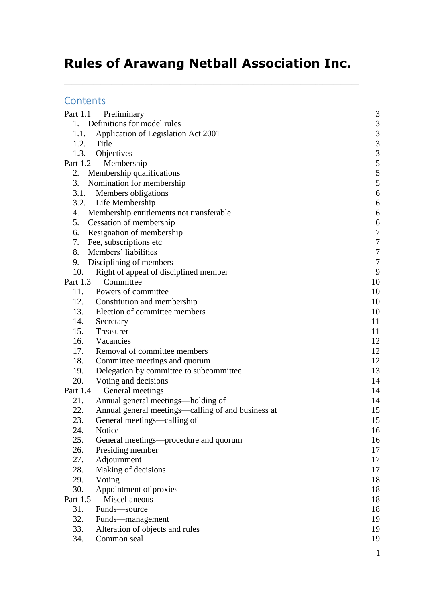# **Rules of Arawang Netball Association Inc.**

\_\_\_\_\_\_\_\_\_\_\_\_\_\_\_\_\_\_\_\_\_\_\_\_\_\_\_\_\_\_\_\_\_\_\_\_\_\_\_\_\_\_\_\_\_\_\_\_\_\_\_\_\_\_\_\_\_\_\_\_\_\_\_\_\_\_\_\_\_\_\_\_\_\_\_\_\_\_\_\_\_

### **Contents**

| Part 1.1   | Preliminary                                         | $\mathfrak{Z}$                             |
|------------|-----------------------------------------------------|--------------------------------------------|
|            | 1. Definitions for model rules                      |                                            |
| 1.1.       | Application of Legislation Act 2001                 | $\begin{array}{c} 3 \\ 3 \\ 3 \end{array}$ |
| 1.2. Title |                                                     |                                            |
|            | 1.3. Objectives                                     | 3                                          |
| Part 1.2   | Membership                                          |                                            |
|            | 2. Membership qualifications                        | $rac{5}{5}$                                |
| 3.         | Nomination for membership                           | 5                                          |
| 3.1.       | Members obligations                                 | 6                                          |
|            | 3.2. Life Membership                                | 6                                          |
| 4.         | Membership entitlements not transferable            | 6                                          |
| 5.         | Cessation of membership                             | 6                                          |
| 6.         | Resignation of membership                           | $\sqrt{ }$                                 |
|            | 7. Fee, subscriptions etc                           | $\overline{7}$                             |
| 8.         | Members' liabilities                                | $\boldsymbol{7}$                           |
| 9.         | Disciplining of members                             | $\boldsymbol{7}$                           |
| 10.        | Right of appeal of disciplined member               | 9                                          |
| Part 1.3   | Committee                                           | 10                                         |
| 11.        | Powers of committee                                 | 10                                         |
| 12.        | Constitution and membership                         | 10                                         |
|            | 13. Election of committee members                   | 10                                         |
| 14.        | Secretary                                           | 11                                         |
| 15.        | Treasurer                                           | 11                                         |
| 16.        | Vacancies                                           | 12                                         |
| 17.        | Removal of committee members                        | 12                                         |
| 18.        | Committee meetings and quorum                       | 12                                         |
| 19.        | Delegation by committee to subcommittee             | 13                                         |
| 20.        | Voting and decisions                                | 14                                         |
| Part 1.4   | General meetings                                    | 14                                         |
| 21.        | Annual general meetings—holding of                  | 14                                         |
| 22.        | Annual general meetings—calling of and business at  | 15                                         |
| 23.        | General meetings—calling of                         | 15                                         |
| 24.        | Notice                                              | 16                                         |
| 25.        | General meetings—procedure and quorum               | 16                                         |
| 26.        | Presiding member                                    | 17                                         |
| 27.<br>28. | Adjournment                                         | 17                                         |
| 29.        | Making of decisions                                 | 17                                         |
| 30.        | Voting<br>Appointment of proxies                    | 18<br>18                                   |
| Part 1.5   | Miscellaneous                                       | 18                                         |
| 31.        | Funds-source                                        | 18                                         |
| 32.        |                                                     | 19                                         |
| 33.        | Funds—management<br>Alteration of objects and rules | 19                                         |
| 34.        | Common seal                                         | 19                                         |
|            |                                                     |                                            |
|            |                                                     | 1                                          |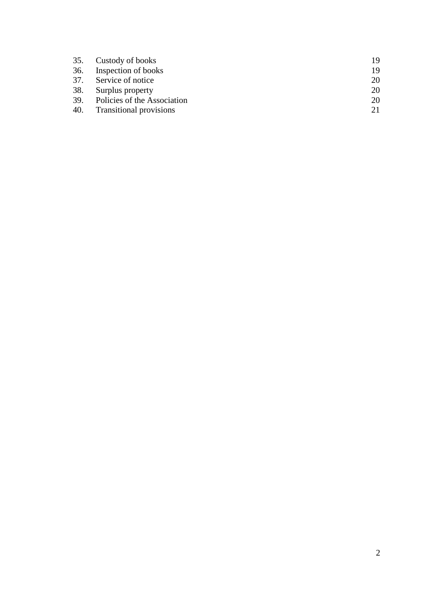|     | 35. Custody of books            | 19 |
|-----|---------------------------------|----|
| 36. | Inspection of books             | 19 |
|     | 37. Service of notice           | 20 |
|     | 38. Surplus property            | 20 |
|     | 39. Policies of the Association | 20 |
|     | 40. Transitional provisions     | 21 |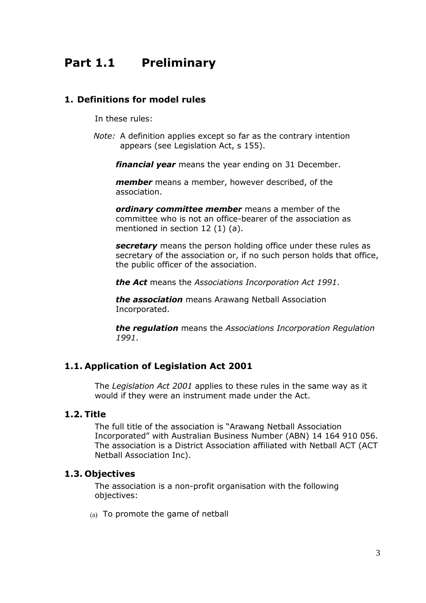## <span id="page-2-0"></span>**Part 1.1 Preliminary**

#### <span id="page-2-1"></span>**1. Definitions for model rules**

In these rules:

*Note:* A definition applies except so far as the contrary intention appears (see Legislation Act, s 155).

*financial year* means the year ending on 31 December.

*member* means a member, however described, of the association.

*ordinary committee member* means a member of the committee who is not an office-bearer of the association as mentioned in section 12 (1) (a).

*secretary* means the person holding office under these rules as secretary of the association or, if no such person holds that office, the public officer of the association.

*the Act* means the *Associations Incorporation Act 1991*.

*the association* means Arawang Netball Association Incorporated.

*the regulation* means the *Associations Incorporation Regulation 1991*.

#### <span id="page-2-2"></span>**1.1. Application of Legislation Act 2001**

The *Legislation Act 2001* applies to these rules in the same way as it would if they were an instrument made under the Act.

#### <span id="page-2-3"></span>**1.2. Title**

The full title of the association is "Arawang Netball Association Incorporated" with Australian Business Number (ABN) 14 164 910 056. The association is a District Association affiliated with Netball ACT (ACT Netball Association Inc).

#### <span id="page-2-4"></span>**1.3. Objectives**

The association is a non-profit organisation with the following objectives:

(a) To promote the game of netball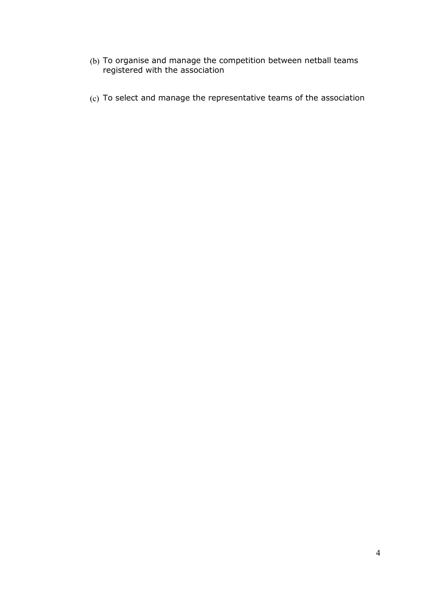- To organise and manage the competition between netball teams registered with the association
- To select and manage the representative teams of the association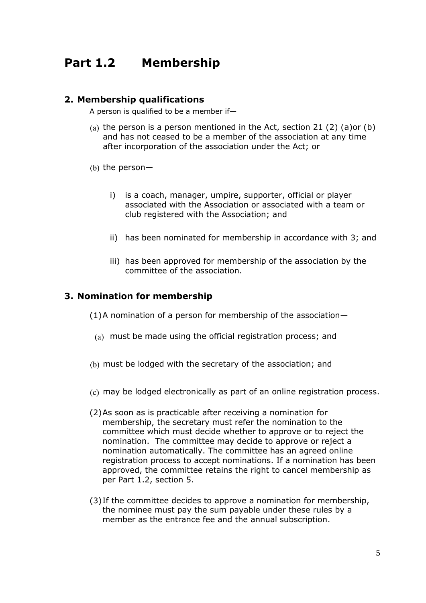## <span id="page-4-0"></span>**Part 1.2 Membership**

#### <span id="page-4-1"></span>**2. Membership qualifications**

A person is qualified to be a member if—

- (a) the person is a person mentioned in the Act, section 21 (2) (a)or (b) and has not ceased to be a member of the association at any time after incorporation of the association under the Act; or
- (b) the person $$ 
	- i) is a coach, manager, umpire, supporter, official or player associated with the Association or associated with a team or club registered with the Association; and
	- ii) has been nominated for membership in accordance with [3;](#page-4-2) and
	- iii) has been approved for membership of the association by the committee of the association.

#### <span id="page-4-2"></span>**3. Nomination for membership**

(1)A nomination of a person for membership of the association—

- (a) must be made using the official registration process; and
- (b) must be lodged with the secretary of the association; and
- (c) may be lodged electronically as part of an online registration process.
- (2)As soon as is practicable after receiving a nomination for membership, the secretary must refer the nomination to the committee which must decide whether to approve or to reject the nomination. The committee may decide to approve or reject a nomination automatically. The committee has an agreed online registration process to accept nominations. If a nomination has been approved, the committee retains the right to cancel membership as per Part 1.2, section 5.
- <span id="page-4-3"></span>(3)If the committee decides to approve a nomination for membership, the nominee must pay the sum payable under these rules by a member as the entrance fee and the annual subscription.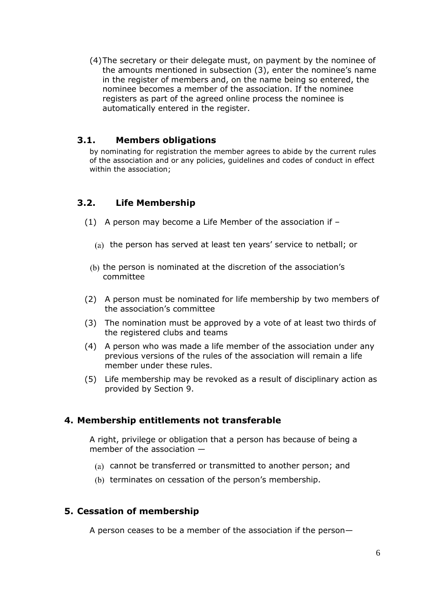(4)The secretary or their delegate must, on payment by the nominee of the amounts mentioned in subsection [\(3\)](#page-4-3), enter the nominee's name in the register of members and, on the name being so entered, the nominee becomes a member of the association. If the nominee registers as part of the agreed online process the nominee is automatically entered in the register.

#### <span id="page-5-0"></span>**3.1. Members obligations**

by nominating for registration the member agrees to abide by the current rules of the association and or any policies, guidelines and codes of conduct in effect within the association;

### <span id="page-5-1"></span>**3.2. Life Membership**

- (1) A person may become a Life Member of the association if
	- $\alpha$ ) the person has served at least ten years' service to netball; or
	- (b) the person is nominated at the discretion of the association's committee
- (2) A person must be nominated for life membership by two members of the association's committee
- (3) The nomination must be approved by a vote of at least two thirds of the registered clubs and teams
- (4) A person who was made a life member of the association under any previous versions of the rules of the association will remain a life member under these rules.
- (5) Life membership may be revoked as a result of disciplinary action as provided by Section [9.](#page-6-3)

#### <span id="page-5-2"></span>**4. Membership entitlements not transferable**

A right, privilege or obligation that a person has because of being a member of the association —

- cannot be transferred or transmitted to another person; and
- (b) terminates on cessation of the person's membership.

#### <span id="page-5-3"></span>**5. Cessation of membership**

A person ceases to be a member of the association if the person—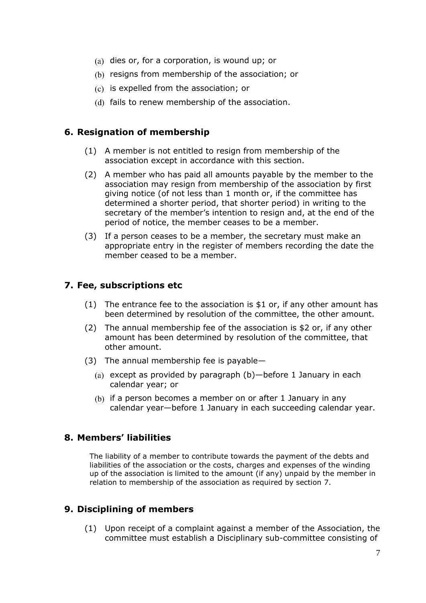- (a) dies or, for a corporation, is wound up; or
- (b) resigns from membership of the association; or
- $(c)$  is expelled from the association; or
- (d) fails to renew membership of the association.

#### <span id="page-6-0"></span>**6. Resignation of membership**

- (1) A member is not entitled to resign from membership of the association except in accordance with this section.
- (2) A member who has paid all amounts payable by the member to the association may resign from membership of the association by first giving notice (of not less than 1 month or, if the committee has determined a shorter period, that shorter period) in writing to the secretary of the member's intention to resign and, at the end of the period of notice, the member ceases to be a member.
- (3) If a person ceases to be a member, the secretary must make an appropriate entry in the register of members recording the date the member ceased to be a member.

#### <span id="page-6-1"></span>**7. Fee, subscriptions etc**

- (1) The entrance fee to the association is  $$1$  or, if any other amount has been determined by resolution of the committee, the other amount.
- (2) The annual membership fee of the association is \$2 or, if any other amount has been determined by resolution of the committee, that other amount.
- (3) The annual membership fee is payable—
	- (a) except as provided by paragraph  $(b)$ —before 1 January in each calendar year; or
	- (b) if a person becomes a member on or after 1 January in any calendar year—before 1 January in each succeeding calendar year.

#### <span id="page-6-2"></span>**8. Members' liabilities**

The liability of a member to contribute towards the payment of the debts and liabilities of the association or the costs, charges and expenses of the winding up of the association is limited to the amount (if any) unpaid by the member in relation to membership of the association as required by section [7.](#page-6-1)

#### <span id="page-6-4"></span><span id="page-6-3"></span>**9. Disciplining of members**

(1) Upon receipt of a complaint against a member of the Association, the committee must establish a Disciplinary sub-committee consisting of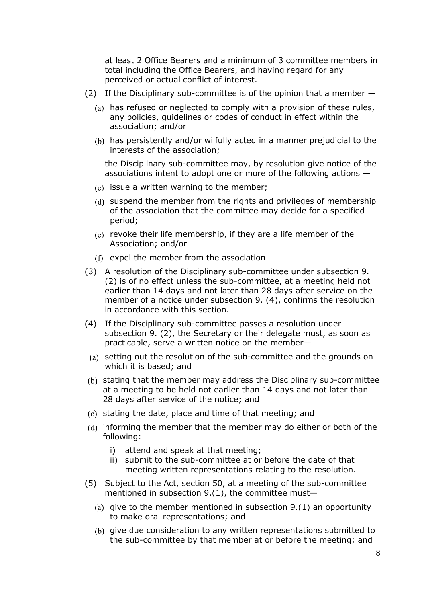at least 2 Office Bearers and a minimum of 3 committee members in total including the Office Bearers, and having regard for any perceived or actual conflict of interest.

- <span id="page-7-1"></span>(2) If the Disciplinary sub-committee is of the opinion that a member  $-$ 
	- (a) has refused or neglected to comply with a provision of these rules, any policies, guidelines or codes of conduct in effect within the association; and/or
	- (b) has persistently and/or wilfully acted in a manner prejudicial to the interests of the association;

the Disciplinary sub-committee may, by resolution give notice of the associations intent to adopt one or more of the following actions —

- $(c)$  issue a written warning to the member;
- (d) suspend the member from the rights and privileges of membership of the association that the committee may decide for a specified period;
- $\epsilon$ ) revoke their life membership, if they are a life member of the Association; and/or
- $(f)$  expel the member from the association
- <span id="page-7-2"></span>(3) A resolution of the Disciplinary sub-committee under subsection 9. (2) is of no effect unless the sub-committee, at a meeting held not earlier than 14 days and not later than 28 days after service on the member of a notice under subsection [9.](#page-6-3) [\(4\),](#page-7-0) confirms the resolution in accordance with this section.
- <span id="page-7-0"></span>(4) If the Disciplinary sub-committee passes a resolution under subsection [9.](#page-6-3) [\(2\),](#page-7-1) the Secretary or their delegate must, as soon as practicable, serve a written notice on the member—
- (a) setting out the resolution of the sub-committee and the grounds on which it is based; and
- (b) stating that the member may address the Disciplinary sub-committee at a meeting to be held not earlier than 14 days and not later than 28 days after service of the notice; and
- $(c)$  stating the date, place and time of that meeting; and
- (d) informing the member that the member may do either or both of the following:
	- i) attend and speak at that meeting;
	- ii) submit to the sub-committee at or before the date of that meeting written representations relating to the resolution.
- (5) Subject to the Act, section 50, at a meeting of the sub-committee mentioned in subsection  $9.(1)$ , the committee must-
	- (a) give to the member mentioned in subsection  $9.(1)$  $9.(1)$  an opportunity to make oral representations; and
	- give due consideration to any written representations submitted to the sub-committee by that member at or before the meeting; and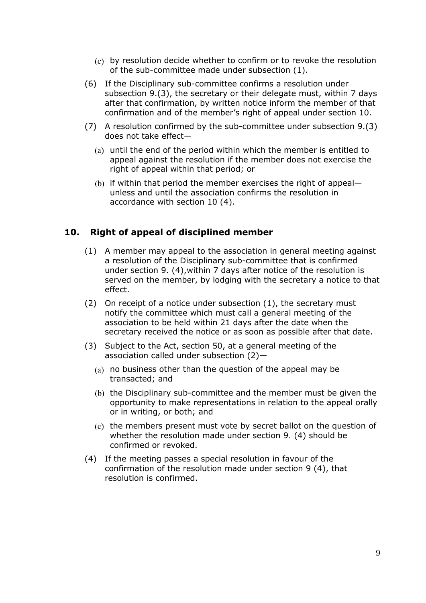- by resolution decide whether to confirm or to revoke the resolution of the sub-committee made under subsection (1).
- (6) If the Disciplinary sub-committee confirms a resolution under subsection [9.](#page-6-3)[\(3\),](#page-7-2) the secretary or their delegate must, within 7 days after that confirmation, by written notice inform the member of that confirmation and of the member's right of appeal under section 10.
- (7) A resolution confirmed by the sub-committee under subsection [9](#page-6-3)[.\(3\)](#page-7-2) does not take effect—
	- $(a)$  until the end of the period within which the member is entitled to appeal against the resolution if the member does not exercise the right of appeal within that period; or
	- (b) if within that period the member exercises the right of appeal unless and until the association confirms the resolution in accordance with section [10](#page-8-0) [\(4\).](#page-8-1)

#### <span id="page-8-0"></span>**10. Right of appeal of disciplined member**

- (1) A member may appeal to the association in general meeting against a resolution of the Disciplinary sub-committee that is confirmed under section [9.](#page-6-3) [\(4\),](#page-7-0)within 7 days after notice of the resolution is served on the member, by lodging with the secretary a notice to that effect.
- (2) On receipt of a notice under subsection (1), the secretary must notify the committee which must call a general meeting of the association to be held within 21 days after the date when the secretary received the notice or as soon as possible after that date.
- (3) Subject to the Act, section 50, at a general meeting of the association called under subsection (2)—
	- $(a)$  no business other than the question of the appeal may be transacted; and
	- (b) the Disciplinary sub-committee and the member must be given the opportunity to make representations in relation to the appeal orally or in writing, or both; and
	- $t$  (c) the members present must vote by secret ballot on the question of whether the resolution made under section [9.](#page-6-3) [\(4\)](#page-7-0) should be confirmed or revoked.
- <span id="page-8-1"></span>(4) If the meeting passes a special resolution in favour of the confirmation of the resolution made under section [9](#page-6-3) [\(4\),](#page-7-0) that resolution is confirmed.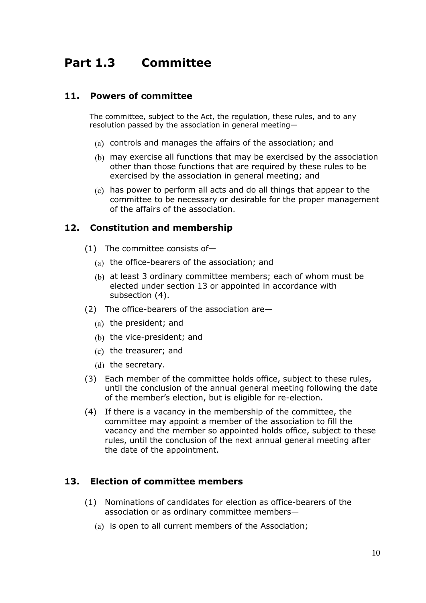## <span id="page-9-0"></span>**Part 1.3 Committee**

#### <span id="page-9-1"></span>**11. Powers of committee**

The committee, subject to the Act, the regulation, these rules, and to any resolution passed by the association in general meeting—

- (a) controls and manages the affairs of the association; and
- may exercise all functions that may be exercised by the association other than those functions that are required by these rules to be exercised by the association in general meeting; and
- has power to perform all acts and do all things that appear to the committee to be necessary or desirable for the proper management of the affairs of the association.

#### <span id="page-9-2"></span>**12. Constitution and membership**

- (1) The committee consists of—
	- (a) the office-bearers of the association; and
	- at least 3 ordinary committee members; each of whom must be elected under section 13 or appointed in accordance with subsection (4).
- (2) The office-bearers of the association are—
	- $(a)$  the president; and
	- $(b)$  the vice-president; and
	- $(c)$  the treasurer; and
	- $(d)$  the secretary.
- (3) Each member of the committee holds office, subject to these rules, until the conclusion of the annual general meeting following the date of the member's election, but is eligible for re-election.
- <span id="page-9-4"></span>(4) If there is a vacancy in the membership of the committee, the committee may appoint a member of the association to fill the vacancy and the member so appointed holds office, subject to these rules, until the conclusion of the next annual general meeting after the date of the appointment.

#### <span id="page-9-3"></span>**13. Election of committee members**

- (1) Nominations of candidates for election as office-bearers of the association or as ordinary committee members—
	- (a) is open to all current members of the Association;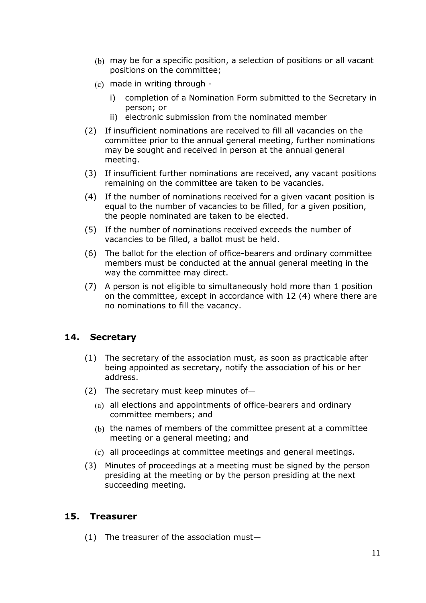- may be for a specific position, a selection of positions or all vacant positions on the committee;
- made in writing through
	- i) completion of a Nomination Form submitted to the Secretary in person; or
	- ii) electronic submission from the nominated member
- (2) If insufficient nominations are received to fill all vacancies on the committee prior to the annual general meeting, further nominations may be sought and received in person at the annual general meeting.
- (3) If insufficient further nominations are received, any vacant positions remaining on the committee are taken to be vacancies.
- (4) If the number of nominations received for a given vacant position is equal to the number of vacancies to be filled, for a given position, the people nominated are taken to be elected.
- (5) If the number of nominations received exceeds the number of vacancies to be filled, a ballot must be held.
- (6) The ballot for the election of office-bearers and ordinary committee members must be conducted at the annual general meeting in the way the committee may direct.
- (7) A person is not eligible to simultaneously hold more than 1 position on the committee, except in accordance with [12](#page-9-2) [\(4\)](#page-9-4) where there are no nominations to fill the vacancy.

#### <span id="page-10-0"></span>**14. Secretary**

- (1) The secretary of the association must, as soon as practicable after being appointed as secretary, notify the association of his or her address.
- (2) The secretary must keep minutes of—
	- (a) all elections and appointments of office-bearers and ordinary committee members; and
	- (b) the names of members of the committee present at a committee meeting or a general meeting; and
	- all proceedings at committee meetings and general meetings.
- (3) Minutes of proceedings at a meeting must be signed by the person presiding at the meeting or by the person presiding at the next succeeding meeting.

#### <span id="page-10-1"></span>**15. Treasurer**

(1) The treasurer of the association must—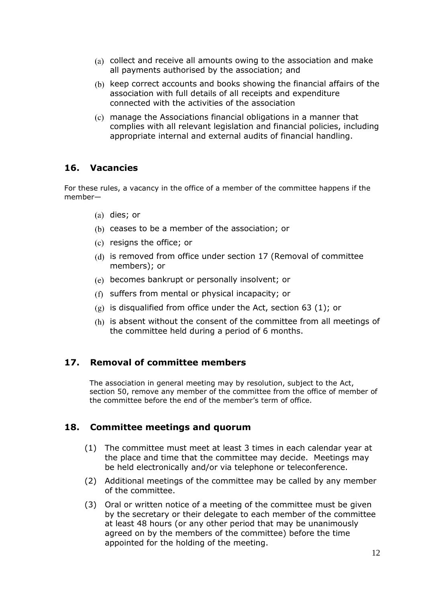- (a) collect and receive all amounts owing to the association and make all payments authorised by the association; and
- (b) keep correct accounts and books showing the financial affairs of the association with full details of all receipts and expenditure connected with the activities of the association
- manage the Associations financial obligations in a manner that complies with all relevant legislation and financial policies, including appropriate internal and external audits of financial handling.

#### <span id="page-11-0"></span>**16. Vacancies**

For these rules, a vacancy in the office of a member of the committee happens if the member—

- $(a)$  dies; or
- (b) ceases to be a member of the association; or
- $(c)$  resigns the office; or
- (d) is removed from office under section 17 (Removal of committee members); or
- becomes bankrupt or personally insolvent; or
- suffers from mental or physical incapacity; or
- $(g)$  is disqualified from office under the Act, section 63 (1); or
- (h) is absent without the consent of the committee from all meetings of the committee held during a period of 6 months.

#### <span id="page-11-1"></span>**17. Removal of committee members**

The association in general meeting may by resolution, subject to the Act, section 50, remove any member of the committee from the office of member of the committee before the end of the member's term of office.

#### <span id="page-11-2"></span>**18. Committee meetings and quorum**

- (1) The committee must meet at least 3 times in each calendar year at the place and time that the committee may decide. Meetings may be held electronically and/or via telephone or teleconference.
- (2) Additional meetings of the committee may be called by any member of the committee.
- (3) Oral or written notice of a meeting of the committee must be given by the secretary or their delegate to each member of the committee at least 48 hours (or any other period that may be unanimously agreed on by the members of the committee) before the time appointed for the holding of the meeting.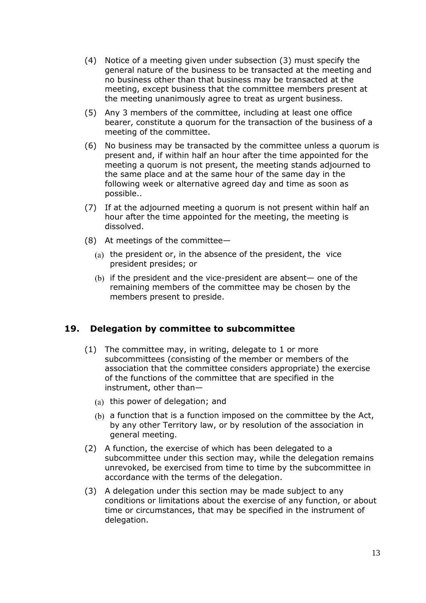- (4) Notice of a meeting given under subsection (3) must specify the general nature of the business to be transacted at the meeting and no business other than that business may be transacted at the meeting, except business that the committee members present at the meeting unanimously agree to treat as urgent business.
- (5) Any 3 members of the committee, including at least one office bearer, constitute a quorum for the transaction of the business of a meeting of the committee.
- (6) No business may be transacted by the committee unless a quorum is present and, if within half an hour after the time appointed for the meeting a quorum is not present, the meeting stands adjourned to the same place and at the same hour of the same day in the following week or alternative agreed day and time as soon as possible..
- (7) If at the adjourned meeting a quorum is not present within half an hour after the time appointed for the meeting, the meeting is dissolved.
- (8) At meetings of the committee—
	- (a) the president or, in the absence of the president, the vice president presides; or
	- $(b)$  if the president and the vice-president are absent— one of the remaining members of the committee may be chosen by the members present to preside.

#### <span id="page-12-0"></span>**19. Delegation by committee to subcommittee**

- (1) The committee may, in writing, delegate to 1 or more subcommittees (consisting of the member or members of the association that the committee considers appropriate) the exercise of the functions of the committee that are specified in the instrument, other than—
	- $(a)$  this power of delegation; and
	- a function that is a function imposed on the committee by the Act, by any other Territory law, or by resolution of the association in general meeting.
- (2) A function, the exercise of which has been delegated to a subcommittee under this section may, while the delegation remains unrevoked, be exercised from time to time by the subcommittee in accordance with the terms of the delegation.
- (3) A delegation under this section may be made subject to any conditions or limitations about the exercise of any function, or about time or circumstances, that may be specified in the instrument of delegation.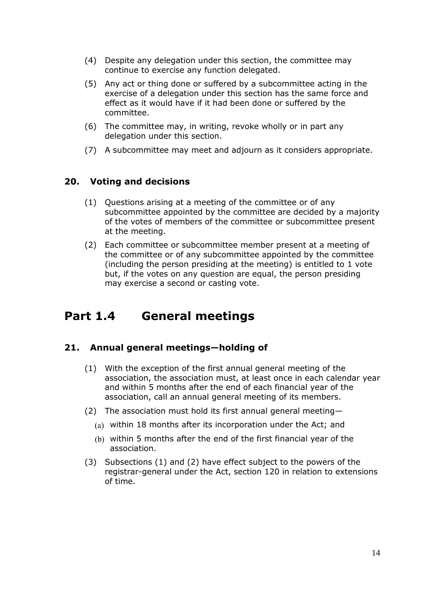- (4) Despite any delegation under this section, the committee may continue to exercise any function delegated.
- (5) Any act or thing done or suffered by a subcommittee acting in the exercise of a delegation under this section has the same force and effect as it would have if it had been done or suffered by the committee.
- (6) The committee may, in writing, revoke wholly or in part any delegation under this section.
- (7) A subcommittee may meet and adjourn as it considers appropriate.

#### <span id="page-13-0"></span>**20. Voting and decisions**

- (1) Questions arising at a meeting of the committee or of any subcommittee appointed by the committee are decided by a majority of the votes of members of the committee or subcommittee present at the meeting.
- (2) Each committee or subcommittee member present at a meeting of the committee or of any subcommittee appointed by the committee (including the person presiding at the meeting) is entitled to 1 vote but, if the votes on any question are equal, the person presiding may exercise a second or casting vote.

### <span id="page-13-1"></span>**Part 1.4 General meetings**

#### <span id="page-13-2"></span>**21. Annual general meetings—holding of**

- (1) With the exception of the first annual general meeting of the association, the association must, at least once in each calendar year and within 5 months after the end of each financial year of the association, call an annual general meeting of its members.
- (2) The association must hold its first annual general meeting
	- within 18 months after its incorporation under the Act; and
	- within 5 months after the end of the first financial year of the association.
- (3) Subsections (1) and (2) have effect subject to the powers of the registrar-general under the Act, section 120 in relation to extensions of time.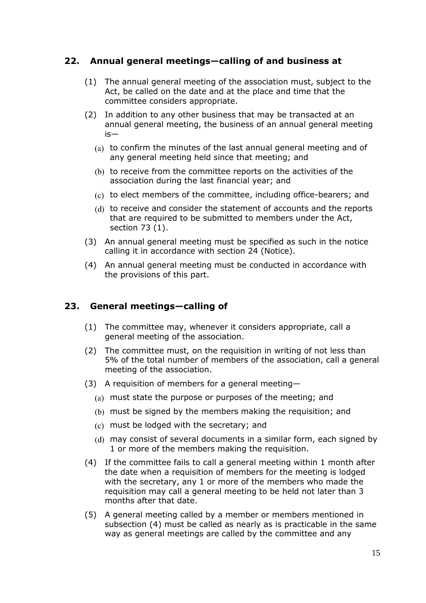#### <span id="page-14-0"></span>**22. Annual general meetings—calling of and business at**

- (1) The annual general meeting of the association must, subject to the Act, be called on the date and at the place and time that the committee considers appropriate.
- <span id="page-14-2"></span>(2) In addition to any other business that may be transacted at an annual general meeting, the business of an annual general meeting is—
	- $(a)$  to confirm the minutes of the last annual general meeting and of any general meeting held since that meeting; and
	- (b) to receive from the committee reports on the activities of the association during the last financial year; and
	- (c) to elect members of the committee, including office-bearers; and
	- (d) to receive and consider the statement of accounts and the reports that are required to be submitted to members under the Act, section 73 (1).
- (3) An annual general meeting must be specified as such in the notice calling it in accordance with section [24](#page-15-0) (Notice).
- (4) An annual general meeting must be conducted in accordance with the provisions of this part.

#### <span id="page-14-1"></span>**23. General meetings—calling of**

- (1) The committee may, whenever it considers appropriate, call a general meeting of the association.
- (2) The committee must, on the requisition in writing of not less than 5% of the total number of members of the association, call a general meeting of the association.
- (3) A requisition of members for a general meeting
	- must state the purpose or purposes of the meeting; and
	- must be signed by the members making the requisition; and
	- must be lodged with the secretary; and
	- may consist of several documents in a similar form, each signed by 1 or more of the members making the requisition.
- (4) If the committee fails to call a general meeting within 1 month after the date when a requisition of members for the meeting is lodged with the secretary, any 1 or more of the members who made the requisition may call a general meeting to be held not later than 3 months after that date.
- (5) A general meeting called by a member or members mentioned in subsection (4) must be called as nearly as is practicable in the same way as general meetings are called by the committee and any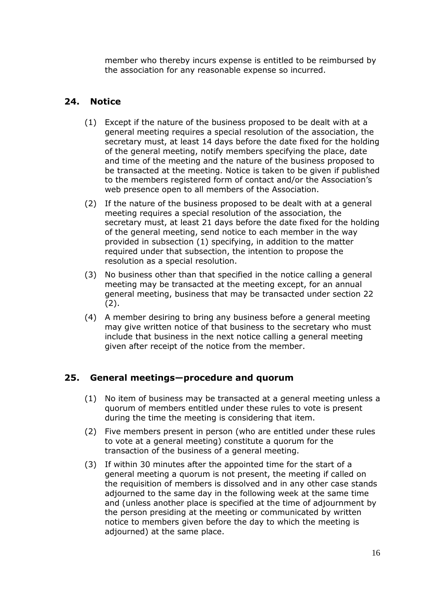member who thereby incurs expense is entitled to be reimbursed by the association for any reasonable expense so incurred.

#### <span id="page-15-0"></span>**24. Notice**

- (1) Except if the nature of the business proposed to be dealt with at a general meeting requires a special resolution of the association, the secretary must, at least 14 days before the date fixed for the holding of the general meeting, notify members specifying the place, date and time of the meeting and the nature of the business proposed to be transacted at the meeting. Notice is taken to be given if published to the members registered form of contact and/or the Association's web presence open to all members of the Association.
- (2) If the nature of the business proposed to be dealt with at a general meeting requires a special resolution of the association, the secretary must, at least 21 days before the date fixed for the holding of the general meeting, send notice to each member in the way provided in subsection (1) specifying, in addition to the matter required under that subsection, the intention to propose the resolution as a special resolution.
- (3) No business other than that specified in the notice calling a general meeting may be transacted at the meeting except, for an annual general meeting, business that may be transacted under section [22](#page-14-0)  $(2).$
- (4) A member desiring to bring any business before a general meeting may give written notice of that business to the secretary who must include that business in the next notice calling a general meeting given after receipt of the notice from the member.

#### <span id="page-15-1"></span>**25. General meetings—procedure and quorum**

- (1) No item of business may be transacted at a general meeting unless a quorum of members entitled under these rules to vote is present during the time the meeting is considering that item.
- (2) Five members present in person (who are entitled under these rules to vote at a general meeting) constitute a quorum for the transaction of the business of a general meeting.
- (3) If within 30 minutes after the appointed time for the start of a general meeting a quorum is not present, the meeting if called on the requisition of members is dissolved and in any other case stands adjourned to the same day in the following week at the same time and (unless another place is specified at the time of adjournment by the person presiding at the meeting or communicated by written notice to members given before the day to which the meeting is adjourned) at the same place.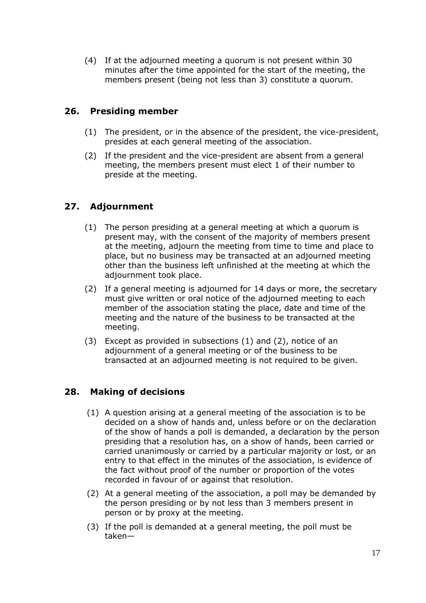(4) If at the adjourned meeting a quorum is not present within 30 minutes after the time appointed for the start of the meeting, the members present (being not less than 3) constitute a quorum.

#### <span id="page-16-0"></span>**26. Presiding member**

- (1) The president, or in the absence of the president, the vice-president, presides at each general meeting of the association.
- (2) If the president and the vice-president are absent from a general meeting, the members present must elect 1 of their number to preside at the meeting.

### <span id="page-16-1"></span>**27. Adjournment**

- (1) The person presiding at a general meeting at which a quorum is present may, with the consent of the majority of members present at the meeting, adjourn the meeting from time to time and place to place, but no business may be transacted at an adjourned meeting other than the business left unfinished at the meeting at which the adjournment took place.
- (2) If a general meeting is adjourned for 14 days or more, the secretary must give written or oral notice of the adjourned meeting to each member of the association stating the place, date and time of the meeting and the nature of the business to be transacted at the meeting.
- (3) Except as provided in subsections (1) and (2), notice of an adjournment of a general meeting or of the business to be transacted at an adjourned meeting is not required to be given.

#### <span id="page-16-2"></span>**28. Making of decisions**

- (1) A question arising at a general meeting of the association is to be decided on a show of hands and, unless before or on the declaration of the show of hands a poll is demanded, a declaration by the person presiding that a resolution has, on a show of hands, been carried or carried unanimously or carried by a particular majority or lost, or an entry to that effect in the minutes of the association, is evidence of the fact without proof of the number or proportion of the votes recorded in favour of or against that resolution.
- (2) At a general meeting of the association, a poll may be demanded by the person presiding or by not less than 3 members present in person or by proxy at the meeting.
- (3) If the poll is demanded at a general meeting, the poll must be taken—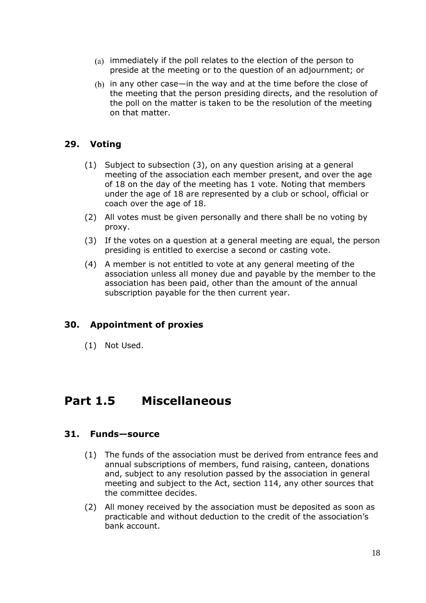- $(a)$  immediately if the poll relates to the election of the person to preside at the meeting or to the question of an adjournment; or
- $(b)$  in any other case—in the way and at the time before the close of the meeting that the person presiding directs, and the resolution of the poll on the matter is taken to be the resolution of the meeting on that matter.

#### <span id="page-17-0"></span>**29. Voting**

- (1) Subject to subsection (3), on any question arising at a general meeting of the association each member present, and over the age of 18 on the day of the meeting has 1 vote. Noting that members under the age of 18 are represented by a club or school, official or coach over the age of 18.
- (2) All votes must be given personally and there shall be no voting by proxy.
- (3) If the votes on a question at a general meeting are equal, the person presiding is entitled to exercise a second or casting vote.
- (4) A member is not entitled to vote at any general meeting of the association unless all money due and payable by the member to the association has been paid, other than the amount of the annual subscription payable for the then current year.

#### <span id="page-17-1"></span>**30. Appointment of proxies**

(1) Not Used.

### <span id="page-17-2"></span>**Part 1.5 Miscellaneous**

#### <span id="page-17-3"></span>**31. Funds—source**

- (1) The funds of the association must be derived from entrance fees and annual subscriptions of members, fund raising, canteen, donations and, subject to any resolution passed by the association in general meeting and subject to the Act, section 114, any other sources that the committee decides.
- (2) All money received by the association must be deposited as soon as practicable and without deduction to the credit of the association's bank account.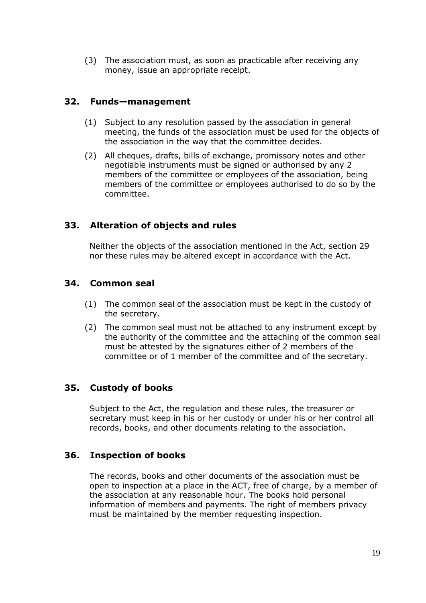(3) The association must, as soon as practicable after receiving any money, issue an appropriate receipt.

#### <span id="page-18-0"></span>**32. Funds—management**

- (1) Subject to any resolution passed by the association in general meeting, the funds of the association must be used for the objects of the association in the way that the committee decides.
- (2) All cheques, drafts, bills of exchange, promissory notes and other negotiable instruments must be signed or authorised by any 2 members of the committee or employees of the association, being members of the committee or employees authorised to do so by the committee.

#### <span id="page-18-1"></span>**33. Alteration of objects and rules**

Neither the objects of the association mentioned in the Act, section 29 nor these rules may be altered except in accordance with the Act.

#### <span id="page-18-2"></span>**34. Common seal**

- (1) The common seal of the association must be kept in the custody of the secretary.
- (2) The common seal must not be attached to any instrument except by the authority of the committee and the attaching of the common seal must be attested by the signatures either of 2 members of the committee or of 1 member of the committee and of the secretary.

#### <span id="page-18-3"></span>**35. Custody of books**

Subject to the Act, the regulation and these rules, the treasurer or secretary must keep in his or her custody or under his or her control all records, books, and other documents relating to the association.

#### <span id="page-18-4"></span>**36. Inspection of books**

The records, books and other documents of the association must be open to inspection at a place in the ACT, free of charge, by a member of the association at any reasonable hour. The books hold personal information of members and payments. The right of members privacy must be maintained by the member requesting inspection.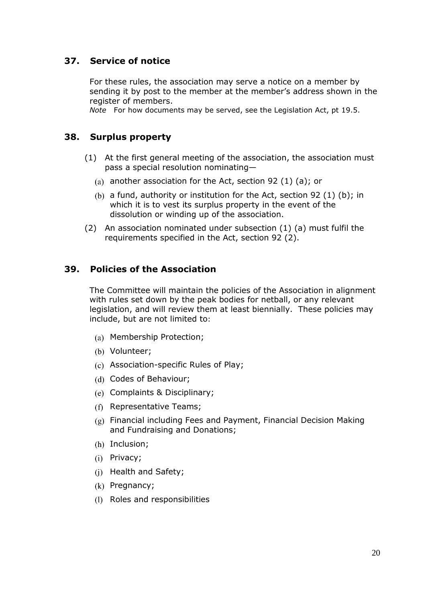#### <span id="page-19-0"></span>**37. Service of notice**

For these rules, the association may serve a notice on a member by sending it by post to the member at the member's address shown in the register of members.

*Note* For how documents may be served, see the Legislation Act, pt 19.5.

#### <span id="page-19-1"></span>**38. Surplus property**

- (1) At the first general meeting of the association, the association must pass a special resolution nominating—
	- (a) another association for the Act, section 92 (1) (a); or
	- (b) a fund, authority or institution for the Act, section 92 (1) (b); in which it is to vest its surplus property in the event of the dissolution or winding up of the association.
- (2) An association nominated under subsection (1) (a) must fulfil the requirements specified in the Act, section 92 (2).

#### <span id="page-19-2"></span>**39. Policies of the Association**

The Committee will maintain the policies of the Association in alignment with rules set down by the peak bodies for netball, or any relevant legislation, and will review them at least biennially. These policies may include, but are not limited to:

- (a) Membership Protection;
- (b) Volunteer;
- Association-specific Rules of Play;
- (d) Codes of Behaviour;
- Complaints & Disciplinary;
- (f) Representative Teams;
- Financial including Fees and Payment, Financial Decision Making and Fundraising and Donations;
- (h) Inclusion;
- (i) Privacy;
- $(i)$  Health and Safety;
- $(k)$  Pregnancy;
- (1) Roles and responsibilities